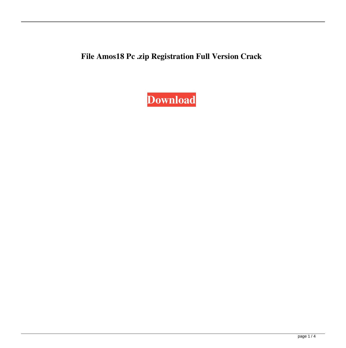**File Amos18 Pc .zip Registration Full Version Crack**

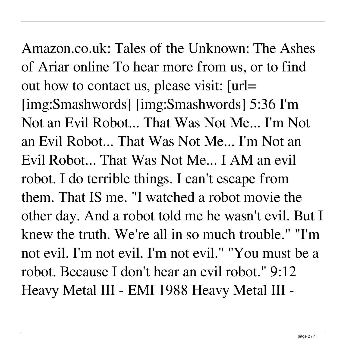Amazon.co.uk: Tales of the Unknown: The Ashes of Ariar online To hear more from us, or to find out how to contact us, please visit: [url= [img:Smashwords] [img:Smashwords] 5:36 I'm Not an Evil Robot... That Was Not Me... I'm Not an Evil Robot... That Was Not Me... I'm Not an Evil Robot... That Was Not Me... I AM an evil robot. I do terrible things. I can't escape from them. That IS me. "I watched a robot movie the other day. And a robot told me he wasn't evil. But I knew the truth. We're all in so much trouble." "I'm not evil. I'm not evil. I'm not evil." "You must be a robot. Because I don't hear an evil robot." 9:12 Heavy Metal III - EMI 1988 Heavy Metal III -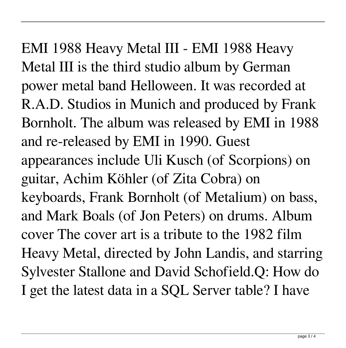EMI 1988 Heavy Metal III - EMI 1988 Heavy Metal III is the third studio album by German power metal band Helloween. It was recorded at R.A.D. Studios in Munich and produced by Frank Bornholt. The album was released by EMI in 1988 and re-released by EMI in 1990. Guest appearances include Uli Kusch (of Scorpions) on guitar, Achim Köhler (of Zita Cobra) on keyboards, Frank Bornholt (of Metalium) on bass, and Mark Boals (of Jon Peters) on drums. Album cover The cover art is a tribute to the 1982 film Heavy Metal, directed by John Landis, and starring Sylvester Stallone and David Schofield.Q: How do I get the latest data in a SQL Server table? I have